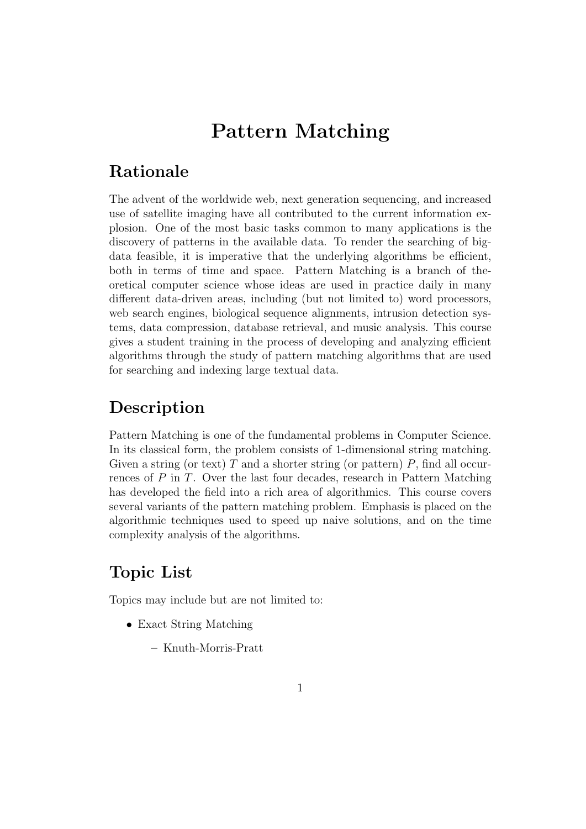# Pattern Matching

# Rationale

The advent of the worldwide web, next generation sequencing, and increased use of satellite imaging have all contributed to the current information explosion. One of the most basic tasks common to many applications is the discovery of patterns in the available data. To render the searching of bigdata feasible, it is imperative that the underlying algorithms be efficient, both in terms of time and space. Pattern Matching is a branch of theoretical computer science whose ideas are used in practice daily in many different data-driven areas, including (but not limited to) word processors, web search engines, biological sequence alignments, intrusion detection systems, data compression, database retrieval, and music analysis. This course gives a student training in the process of developing and analyzing efficient algorithms through the study of pattern matching algorithms that are used for searching and indexing large textual data.

## Description

Pattern Matching is one of the fundamental problems in Computer Science. In its classical form, the problem consists of 1-dimensional string matching. Given a string (or text) T and a shorter string (or pattern)  $P$ , find all occurrences of P in T. Over the last four decades, research in Pattern Matching has developed the field into a rich area of algorithmics. This course covers several variants of the pattern matching problem. Emphasis is placed on the algorithmic techniques used to speed up naive solutions, and on the time complexity analysis of the algorithms.

# Topic List

Topics may include but are not limited to:

- Exact String Matching
	- Knuth-Morris-Pratt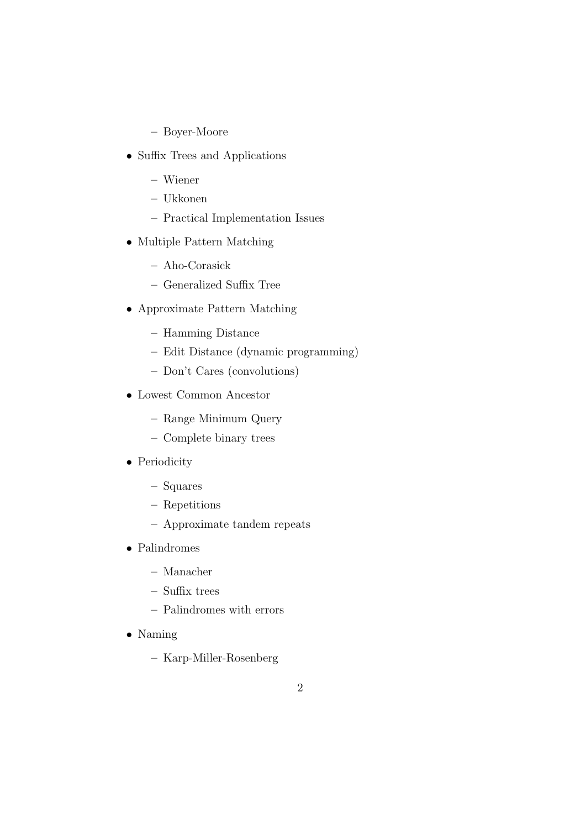- Boyer-Moore
- Suffix Trees and Applications
	- Wiener
	- Ukkonen
	- Practical Implementation Issues
- Multiple Pattern Matching
	- Aho-Corasick
	- Generalized Suffix Tree
- Approximate Pattern Matching
	- Hamming Distance
	- Edit Distance (dynamic programming)
	- Don't Cares (convolutions)
- Lowest Common Ancestor
	- Range Minimum Query
	- Complete binary trees
- Periodicity
	- Squares
	- Repetitions
	- Approximate tandem repeats
- Palindromes
	- Manacher
	- Suffix trees
	- Palindromes with errors
- Naming
	- Karp-Miller-Rosenberg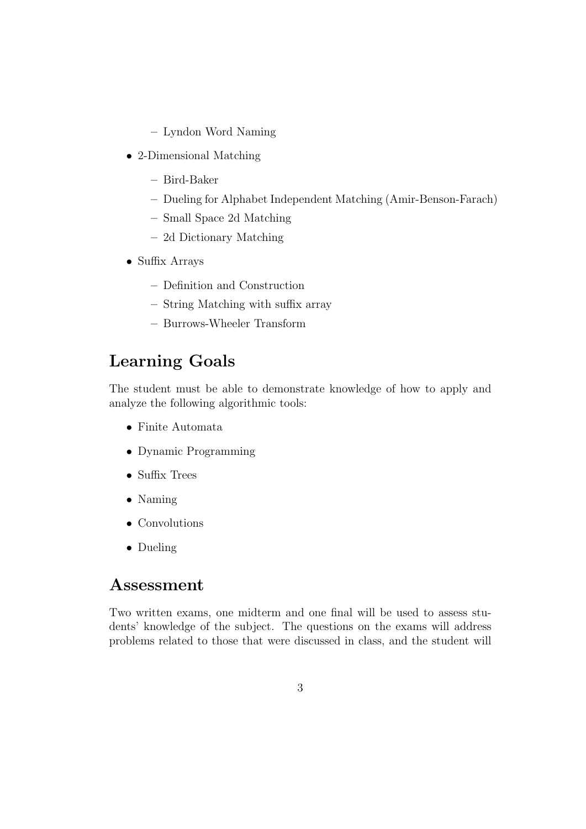- Lyndon Word Naming
- 2-Dimensional Matching
	- Bird-Baker
	- Dueling for Alphabet Independent Matching (Amir-Benson-Farach)
	- Small Space 2d Matching
	- 2d Dictionary Matching
- Suffix Arrays
	- Definition and Construction
	- String Matching with suffix array
	- Burrows-Wheeler Transform

# Learning Goals

The student must be able to demonstrate knowledge of how to apply and analyze the following algorithmic tools:

- Finite Automata
- Dynamic Programming
- Suffix Trees
- Naming
- Convolutions
- Dueling

#### Assessment

Two written exams, one midterm and one final will be used to assess students' knowledge of the subject. The questions on the exams will address problems related to those that were discussed in class, and the student will